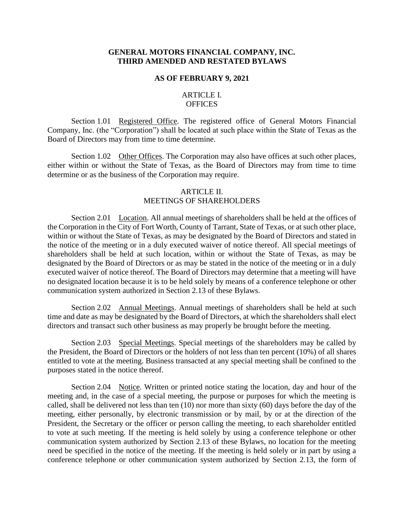#### **GENERAL MOTORS FINANCIAL COMPANY, INC. THIRD AMENDED AND RESTATED BYLAWS**

#### **AS OF FEBRUARY 9, 2021**

#### ARTICLE I. **OFFICES**

Section 1.01 Registered Office. The registered office of General Motors Financial Company, Inc. (the "Corporation") shall be located at such place within the State of Texas as the Board of Directors may from time to time determine.

Section 1.02 Other Offices. The Corporation may also have offices at such other places, either within or without the State of Texas, as the Board of Directors may from time to time determine or as the business of the Corporation may require.

#### ARTICLE II. MEETINGS OF SHAREHOLDERS

Section 2.01 Location. All annual meetings of shareholders shall be held at the offices of the Corporation in the City of Fort Worth, County of Tarrant, State of Texas, or at such other place, within or without the State of Texas, as may be designated by the Board of Directors and stated in the notice of the meeting or in a duly executed waiver of notice thereof. All special meetings of shareholders shall be held at such location, within or without the State of Texas, as may be designated by the Board of Directors or as may be stated in the notice of the meeting or in a duly executed waiver of notice thereof. The Board of Directors may determine that a meeting will have no designated location because it is to be held solely by means of a conference telephone or other communication system authorized in Section 2.13 of these Bylaws.

Section 2.02 Annual Meetings. Annual meetings of shareholders shall be held at such time and date as may be designated by the Board of Directors, at which the shareholders shall elect directors and transact such other business as may properly be brought before the meeting.

Section 2.03 Special Meetings. Special meetings of the shareholders may be called by the President, the Board of Directors or the holders of not less than ten percent (10%) of all shares entitled to vote at the meeting. Business transacted at any special meeting shall be confined to the purposes stated in the notice thereof.

Section 2.04 Notice. Written or printed notice stating the location, day and hour of the meeting and, in the case of a special meeting, the purpose or purposes for which the meeting is called, shall be delivered not less than ten (10) nor more than sixty (60) days before the day of the meeting, either personally, by electronic transmission or by mail, by or at the direction of the President, the Secretary or the officer or person calling the meeting, to each shareholder entitled to vote at such meeting. If the meeting is held solely by using a conference telephone or other communication system authorized by Section 2.13 of these Bylaws, no location for the meeting need be specified in the notice of the meeting. If the meeting is held solely or in part by using a conference telephone or other communication system authorized by Section 2.13, the form of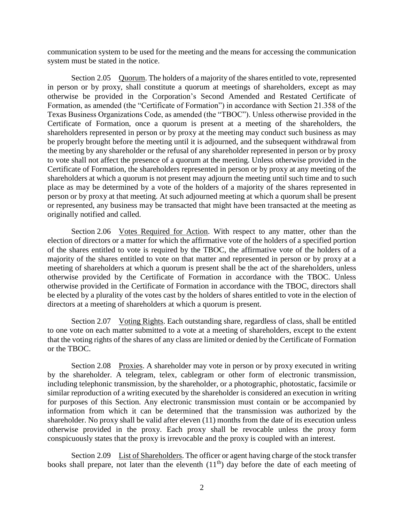communication system to be used for the meeting and the means for accessing the communication system must be stated in the notice.

Section 2.05 Quorum. The holders of a majority of the shares entitled to vote, represented in person or by proxy, shall constitute a quorum at meetings of shareholders, except as may otherwise be provided in the Corporation's Second Amended and Restated Certificate of Formation, as amended (the "Certificate of Formation") in accordance with Section 21.358 of the Texas Business Organizations Code, as amended (the "TBOC"). Unless otherwise provided in the Certificate of Formation, once a quorum is present at a meeting of the shareholders, the shareholders represented in person or by proxy at the meeting may conduct such business as may be properly brought before the meeting until it is adjourned, and the subsequent withdrawal from the meeting by any shareholder or the refusal of any shareholder represented in person or by proxy to vote shall not affect the presence of a quorum at the meeting. Unless otherwise provided in the Certificate of Formation, the shareholders represented in person or by proxy at any meeting of the shareholders at which a quorum is not present may adjourn the meeting until such time and to such place as may be determined by a vote of the holders of a majority of the shares represented in person or by proxy at that meeting. At such adjourned meeting at which a quorum shall be present or represented, any business may be transacted that might have been transacted at the meeting as originally notified and called.

Section 2.06 Votes Required for Action. With respect to any matter, other than the election of directors or a matter for which the affirmative vote of the holders of a specified portion of the shares entitled to vote is required by the TBOC, the affirmative vote of the holders of a majority of the shares entitled to vote on that matter and represented in person or by proxy at a meeting of shareholders at which a quorum is present shall be the act of the shareholders, unless otherwise provided by the Certificate of Formation in accordance with the TBOC. Unless otherwise provided in the Certificate of Formation in accordance with the TBOC, directors shall be elected by a plurality of the votes cast by the holders of shares entitled to vote in the election of directors at a meeting of shareholders at which a quorum is present.

Section 2.07 Voting Rights. Each outstanding share, regardless of class, shall be entitled to one vote on each matter submitted to a vote at a meeting of shareholders, except to the extent that the voting rights of the shares of any class are limited or denied by the Certificate of Formation or the TBOC.

Section 2.08 Proxies. A shareholder may vote in person or by proxy executed in writing by the shareholder. A telegram, telex, cablegram or other form of electronic transmission, including telephonic transmission, by the shareholder, or a photographic, photostatic, facsimile or similar reproduction of a writing executed by the shareholder is considered an execution in writing for purposes of this Section. Any electronic transmission must contain or be accompanied by information from which it can be determined that the transmission was authorized by the shareholder. No proxy shall be valid after eleven (11) months from the date of its execution unless otherwise provided in the proxy. Each proxy shall be revocable unless the proxy form conspicuously states that the proxy is irrevocable and the proxy is coupled with an interest.

Section 2.09 List of Shareholders. The officer or agent having charge of the stock transfer books shall prepare, not later than the eleventh  $(11<sup>th</sup>)$  day before the date of each meeting of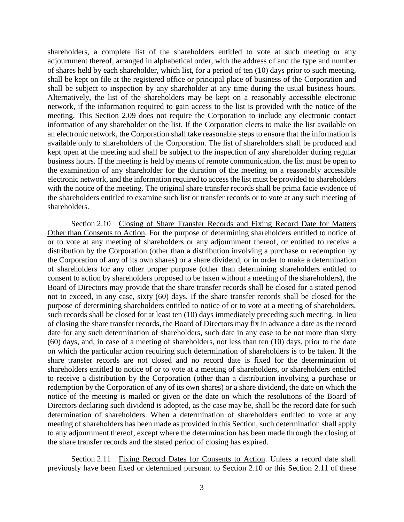shareholders, a complete list of the shareholders entitled to vote at such meeting or any adjournment thereof, arranged in alphabetical order, with the address of and the type and number of shares held by each shareholder, which list, for a period of ten (10) days prior to such meeting, shall be kept on file at the registered office or principal place of business of the Corporation and shall be subject to inspection by any shareholder at any time during the usual business hours. Alternatively, the list of the shareholders may be kept on a reasonably accessible electronic network, if the information required to gain access to the list is provided with the notice of the meeting. This Section 2.09 does not require the Corporation to include any electronic contact information of any shareholder on the list. If the Corporation elects to make the list available on an electronic network, the Corporation shall take reasonable steps to ensure that the information is available only to shareholders of the Corporation. The list of shareholders shall be produced and kept open at the meeting and shall be subject to the inspection of any shareholder during regular business hours. If the meeting is held by means of remote communication, the list must be open to the examination of any shareholder for the duration of the meeting on a reasonably accessible electronic network, and the information required to access the list must be provided to shareholders with the notice of the meeting. The original share transfer records shall be prima facie evidence of the shareholders entitled to examine such list or transfer records or to vote at any such meeting of shareholders.

Section 2.10 Closing of Share Transfer Records and Fixing Record Date for Matters Other than Consents to Action. For the purpose of determining shareholders entitled to notice of or to vote at any meeting of shareholders or any adjournment thereof, or entitled to receive a distribution by the Corporation (other than a distribution involving a purchase or redemption by the Corporation of any of its own shares) or a share dividend, or in order to make a determination of shareholders for any other proper purpose (other than determining shareholders entitled to consent to action by shareholders proposed to be taken without a meeting of the shareholders), the Board of Directors may provide that the share transfer records shall be closed for a stated period not to exceed, in any case, sixty (60) days. If the share transfer records shall be closed for the purpose of determining shareholders entitled to notice of or to vote at a meeting of shareholders, such records shall be closed for at least ten (10) days immediately preceding such meeting. In lieu of closing the share transfer records, the Board of Directors may fix in advance a date as the record date for any such determination of shareholders, such date in any case to be not more than sixty (60) days, and, in case of a meeting of shareholders, not less than ten (10) days, prior to the date on which the particular action requiring such determination of shareholders is to be taken. If the share transfer records are not closed and no record date is fixed for the determination of shareholders entitled to notice of or to vote at a meeting of shareholders, or shareholders entitled to receive a distribution by the Corporation (other than a distribution involving a purchase or redemption by the Corporation of any of its own shares) or a share dividend, the date on which the notice of the meeting is mailed or given or the date on which the resolutions of the Board of Directors declaring such dividend is adopted, as the case may be, shall be the record date for such determination of shareholders. When a determination of shareholders entitled to vote at any meeting of shareholders has been made as provided in this Section, such determination shall apply to any adjournment thereof, except where the determination has been made through the closing of the share transfer records and the stated period of closing has expired.

Section 2.11 Fixing Record Dates for Consents to Action. Unless a record date shall previously have been fixed or determined pursuant to Section 2.10 or this Section 2.11 of these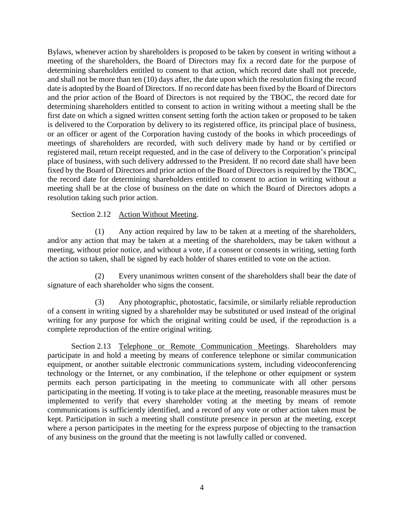Bylaws, whenever action by shareholders is proposed to be taken by consent in writing without a meeting of the shareholders, the Board of Directors may fix a record date for the purpose of determining shareholders entitled to consent to that action, which record date shall not precede, and shall not be more than ten (10) days after, the date upon which the resolution fixing the record date is adopted by the Board of Directors. If no record date has been fixed by the Board of Directors and the prior action of the Board of Directors is not required by the TBOC, the record date for determining shareholders entitled to consent to action in writing without a meeting shall be the first date on which a signed written consent setting forth the action taken or proposed to be taken is delivered to the Corporation by delivery to its registered office, its principal place of business, or an officer or agent of the Corporation having custody of the books in which proceedings of meetings of shareholders are recorded, with such delivery made by hand or by certified or registered mail, return receipt requested, and in the case of delivery to the Corporation's principal place of business, with such delivery addressed to the President. If no record date shall have been fixed by the Board of Directors and prior action of the Board of Directors is required by the TBOC, the record date for determining shareholders entitled to consent to action in writing without a meeting shall be at the close of business on the date on which the Board of Directors adopts a resolution taking such prior action.

### Section 2.12 Action Without Meeting.

(1) Any action required by law to be taken at a meeting of the shareholders, and/or any action that may be taken at a meeting of the shareholders, may be taken without a meeting, without prior notice, and without a vote, if a consent or consents in writing, setting forth the action so taken, shall be signed by each holder of shares entitled to vote on the action.

(2) Every unanimous written consent of the shareholders shall bear the date of signature of each shareholder who signs the consent.

(3) Any photographic, photostatic, facsimile, or similarly reliable reproduction of a consent in writing signed by a shareholder may be substituted or used instead of the original writing for any purpose for which the original writing could be used, if the reproduction is a complete reproduction of the entire original writing.

Section 2.13 Telephone or Remote Communication Meetings. Shareholders may participate in and hold a meeting by means of conference telephone or similar communication equipment, or another suitable electronic communications system, including videoconferencing technology or the Internet, or any combination, if the telephone or other equipment or system permits each person participating in the meeting to communicate with all other persons participating in the meeting. If voting is to take place at the meeting, reasonable measures must be implemented to verify that every shareholder voting at the meeting by means of remote communications is sufficiently identified, and a record of any vote or other action taken must be kept. Participation in such a meeting shall constitute presence in person at the meeting, except where a person participates in the meeting for the express purpose of objecting to the transaction of any business on the ground that the meeting is not lawfully called or convened.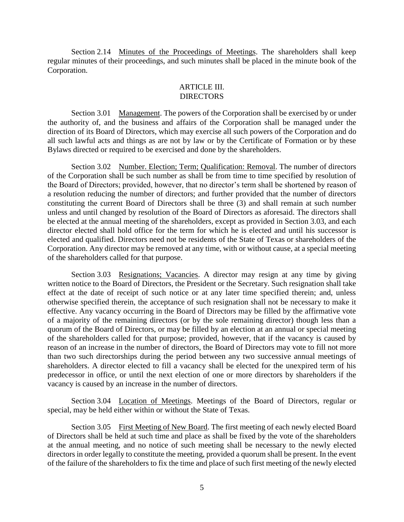Section 2.14 Minutes of the Proceedings of Meetings. The shareholders shall keep regular minutes of their proceedings, and such minutes shall be placed in the minute book of the Corporation.

#### ARTICLE III. DIRECTORS

Section 3.01 Management. The powers of the Corporation shall be exercised by or under the authority of, and the business and affairs of the Corporation shall be managed under the direction of its Board of Directors, which may exercise all such powers of the Corporation and do all such lawful acts and things as are not by law or by the Certificate of Formation or by these Bylaws directed or required to be exercised and done by the shareholders.

Section 3.02 Number. Election; Term; Qualification: Removal. The number of directors of the Corporation shall be such number as shall be from time to time specified by resolution of the Board of Directors; provided, however, that no director's term shall be shortened by reason of a resolution reducing the number of directors; and further provided that the number of directors constituting the current Board of Directors shall be three (3) and shall remain at such number unless and until changed by resolution of the Board of Directors as aforesaid. The directors shall be elected at the annual meeting of the shareholders, except as provided in Section 3.03, and each director elected shall hold office for the term for which he is elected and until his successor is elected and qualified. Directors need not be residents of the State of Texas or shareholders of the Corporation. Any director may be removed at any time, with or without cause, at a special meeting of the shareholders called for that purpose.

Section 3.03 Resignations; Vacancies. A director may resign at any time by giving written notice to the Board of Directors, the President or the Secretary. Such resignation shall take effect at the date of receipt of such notice or at any later time specified therein; and, unless otherwise specified therein, the acceptance of such resignation shall not be necessary to make it effective. Any vacancy occurring in the Board of Directors may be filled by the affirmative vote of a majority of the remaining directors (or by the sole remaining director) though less than a quorum of the Board of Directors, or may be filled by an election at an annual or special meeting of the shareholders called for that purpose; provided, however, that if the vacancy is caused by reason of an increase in the number of directors, the Board of Directors may vote to fill not more than two such directorships during the period between any two successive annual meetings of shareholders. A director elected to fill a vacancy shall be elected for the unexpired term of his predecessor in office, or until the next election of one or more directors by shareholders if the vacancy is caused by an increase in the number of directors.

Section 3.04 Location of Meetings. Meetings of the Board of Directors, regular or special, may be held either within or without the State of Texas.

Section 3.05 First Meeting of New Board. The first meeting of each newly elected Board of Directors shall be held at such time and place as shall be fixed by the vote of the shareholders at the annual meeting, and no notice of such meeting shall be necessary to the newly elected directors in order legally to constitute the meeting, provided a quorum shall be present. In the event of the failure of the shareholders to fix the time and place of such first meeting of the newly elected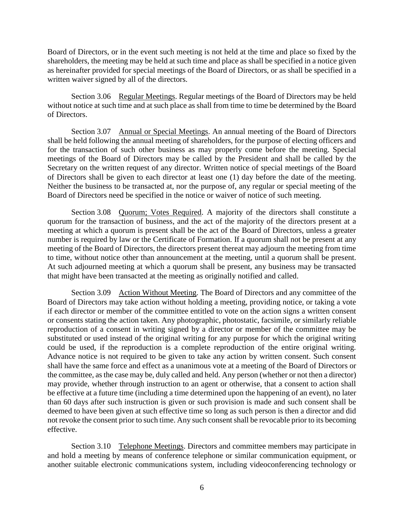Board of Directors, or in the event such meeting is not held at the time and place so fixed by the shareholders, the meeting may be held at such time and place as shall be specified in a notice given as hereinafter provided for special meetings of the Board of Directors, or as shall be specified in a written waiver signed by all of the directors.

Section 3.06 Regular Meetings. Regular meetings of the Board of Directors may be held without notice at such time and at such place as shall from time to time be determined by the Board of Directors.

Section 3.07 Annual or Special Meetings. An annual meeting of the Board of Directors shall be held following the annual meeting of shareholders, for the purpose of electing officers and for the transaction of such other business as may properly come before the meeting. Special meetings of the Board of Directors may be called by the President and shall be called by the Secretary on the written request of any director. Written notice of special meetings of the Board of Directors shall be given to each director at least one (1) day before the date of the meeting. Neither the business to be transacted at, nor the purpose of, any regular or special meeting of the Board of Directors need be specified in the notice or waiver of notice of such meeting.

Section 3.08 Quorum; Votes Required. A majority of the directors shall constitute a quorum for the transaction of business, and the act of the majority of the directors present at a meeting at which a quorum is present shall be the act of the Board of Directors, unless a greater number is required by law or the Certificate of Formation. If a quorum shall not be present at any meeting of the Board of Directors, the directors present thereat may adjourn the meeting from time to time, without notice other than announcement at the meeting, until a quorum shall be present. At such adjourned meeting at which a quorum shall be present, any business may be transacted that might have been transacted at the meeting as originally notified and called.

Section 3.09 Action Without Meeting. The Board of Directors and any committee of the Board of Directors may take action without holding a meeting, providing notice, or taking a vote if each director or member of the committee entitled to vote on the action signs a written consent or consents stating the action taken. Any photographic, photostatic, facsimile, or similarly reliable reproduction of a consent in writing signed by a director or member of the committee may be substituted or used instead of the original writing for any purpose for which the original writing could be used, if the reproduction is a complete reproduction of the entire original writing. Advance notice is not required to be given to take any action by written consent. Such consent shall have the same force and effect as a unanimous vote at a meeting of the Board of Directors or the committee, as the case may be, duly called and held. Any person (whether or not then a director) may provide, whether through instruction to an agent or otherwise, that a consent to action shall be effective at a future time (including a time determined upon the happening of an event), no later than 60 days after such instruction is given or such provision is made and such consent shall be deemed to have been given at such effective time so long as such person is then a director and did not revoke the consent prior to such time. Any such consent shall be revocable prior to its becoming effective.

Section 3.10 Telephone Meetings. Directors and committee members may participate in and hold a meeting by means of conference telephone or similar communication equipment, or another suitable electronic communications system, including videoconferencing technology or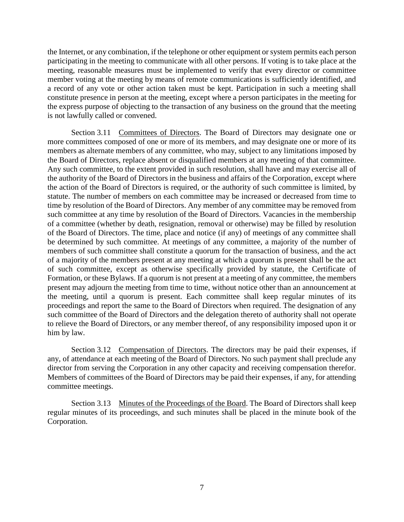the Internet, or any combination, if the telephone or other equipment or system permits each person participating in the meeting to communicate with all other persons. If voting is to take place at the meeting, reasonable measures must be implemented to verify that every director or committee member voting at the meeting by means of remote communications is sufficiently identified, and a record of any vote or other action taken must be kept. Participation in such a meeting shall constitute presence in person at the meeting, except where a person participates in the meeting for the express purpose of objecting to the transaction of any business on the ground that the meeting is not lawfully called or convened.

Section 3.11 Committees of Directors. The Board of Directors may designate one or more committees composed of one or more of its members, and may designate one or more of its members as alternate members of any committee, who may, subject to any limitations imposed by the Board of Directors, replace absent or disqualified members at any meeting of that committee. Any such committee, to the extent provided in such resolution, shall have and may exercise all of the authority of the Board of Directors in the business and affairs of the Corporation, except where the action of the Board of Directors is required, or the authority of such committee is limited, by statute. The number of members on each committee may be increased or decreased from time to time by resolution of the Board of Directors. Any member of any committee may be removed from such committee at any time by resolution of the Board of Directors. Vacancies in the membership of a committee (whether by death, resignation, removal or otherwise) may be filled by resolution of the Board of Directors. The time, place and notice (if any) of meetings of any committee shall be determined by such committee. At meetings of any committee, a majority of the number of members of such committee shall constitute a quorum for the transaction of business, and the act of a majority of the members present at any meeting at which a quorum is present shall be the act of such committee, except as otherwise specifically provided by statute, the Certificate of Formation, or these Bylaws. If a quorum is not present at a meeting of any committee, the members present may adjourn the meeting from time to time, without notice other than an announcement at the meeting, until a quorum is present. Each committee shall keep regular minutes of its proceedings and report the same to the Board of Directors when required. The designation of any such committee of the Board of Directors and the delegation thereto of authority shall not operate to relieve the Board of Directors, or any member thereof, of any responsibility imposed upon it or him by law.

Section 3.12 Compensation of Directors. The directors may be paid their expenses, if any, of attendance at each meeting of the Board of Directors. No such payment shall preclude any director from serving the Corporation in any other capacity and receiving compensation therefor. Members of committees of the Board of Directors may be paid their expenses, if any, for attending committee meetings.

Section 3.13 Minutes of the Proceedings of the Board. The Board of Directors shall keep regular minutes of its proceedings, and such minutes shall be placed in the minute book of the Corporation.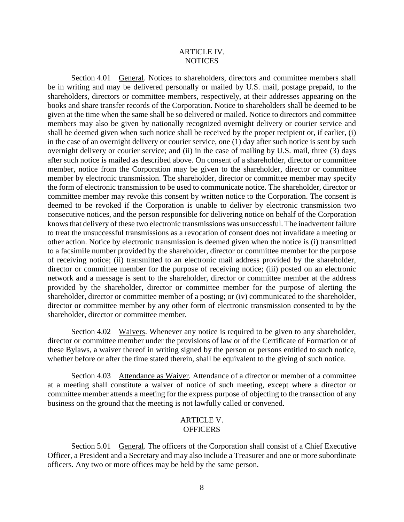### ARTICLE IV. **NOTICES**

Section 4.01 General. Notices to shareholders, directors and committee members shall be in writing and may be delivered personally or mailed by U.S. mail, postage prepaid, to the shareholders, directors or committee members, respectively, at their addresses appearing on the books and share transfer records of the Corporation. Notice to shareholders shall be deemed to be given at the time when the same shall be so delivered or mailed. Notice to directors and committee members may also be given by nationally recognized overnight delivery or courier service and shall be deemed given when such notice shall be received by the proper recipient or, if earlier, (i) in the case of an overnight delivery or courier service, one (1) day after such notice is sent by such overnight delivery or courier service; and (ii) in the case of mailing by U.S. mail, three (3) days after such notice is mailed as described above. On consent of a shareholder, director or committee member, notice from the Corporation may be given to the shareholder, director or committee member by electronic transmission. The shareholder, director or committee member may specify the form of electronic transmission to be used to communicate notice. The shareholder, director or committee member may revoke this consent by written notice to the Corporation. The consent is deemed to be revoked if the Corporation is unable to deliver by electronic transmission two consecutive notices, and the person responsible for delivering notice on behalf of the Corporation knows that delivery of these two electronic transmissions was unsuccessful. The inadvertent failure to treat the unsuccessful transmissions as a revocation of consent does not invalidate a meeting or other action. Notice by electronic transmission is deemed given when the notice is (i) transmitted to a facsimile number provided by the shareholder, director or committee member for the purpose of receiving notice; (ii) transmitted to an electronic mail address provided by the shareholder, director or committee member for the purpose of receiving notice; (iii) posted on an electronic network and a message is sent to the shareholder, director or committee member at the address provided by the shareholder, director or committee member for the purpose of alerting the shareholder, director or committee member of a posting; or (iv) communicated to the shareholder, director or committee member by any other form of electronic transmission consented to by the shareholder, director or committee member.

Section 4.02 Waivers. Whenever any notice is required to be given to any shareholder, director or committee member under the provisions of law or of the Certificate of Formation or of these Bylaws, a waiver thereof in writing signed by the person or persons entitled to such notice, whether before or after the time stated therein, shall be equivalent to the giving of such notice.

Section 4.03 Attendance as Waiver. Attendance of a director or member of a committee at a meeting shall constitute a waiver of notice of such meeting, except where a director or committee member attends a meeting for the express purpose of objecting to the transaction of any business on the ground that the meeting is not lawfully called or convened.

### ARTICLE V. **OFFICERS**

Section 5.01 General. The officers of the Corporation shall consist of a Chief Executive Officer, a President and a Secretary and may also include a Treasurer and one or more subordinate officers. Any two or more offices may be held by the same person.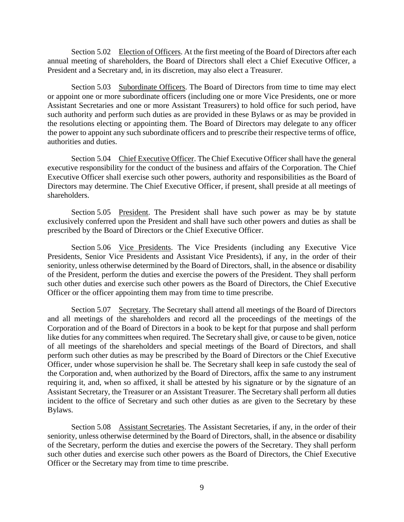Section 5.02 Election of Officers. At the first meeting of the Board of Directors after each annual meeting of shareholders, the Board of Directors shall elect a Chief Executive Officer, a President and a Secretary and, in its discretion, may also elect a Treasurer.

Section 5.03 Subordinate Officers. The Board of Directors from time to time may elect or appoint one or more subordinate officers (including one or more Vice Presidents, one or more Assistant Secretaries and one or more Assistant Treasurers) to hold office for such period, have such authority and perform such duties as are provided in these Bylaws or as may be provided in the resolutions electing or appointing them. The Board of Directors may delegate to any officer the power to appoint any such subordinate officers and to prescribe their respective terms of office, authorities and duties.

Section 5.04 Chief Executive Officer. The Chief Executive Officer shall have the general executive responsibility for the conduct of the business and affairs of the Corporation. The Chief Executive Officer shall exercise such other powers, authority and responsibilities as the Board of Directors may determine. The Chief Executive Officer, if present, shall preside at all meetings of shareholders.

Section 5.05 President. The President shall have such power as may be by statute exclusively conferred upon the President and shall have such other powers and duties as shall be prescribed by the Board of Directors or the Chief Executive Officer.

Section 5.06 Vice Presidents. The Vice Presidents (including any Executive Vice Presidents, Senior Vice Presidents and Assistant Vice Presidents), if any, in the order of their seniority, unless otherwise determined by the Board of Directors, shall, in the absence or disability of the President, perform the duties and exercise the powers of the President. They shall perform such other duties and exercise such other powers as the Board of Directors, the Chief Executive Officer or the officer appointing them may from time to time prescribe.

Section 5.07 Secretary. The Secretary shall attend all meetings of the Board of Directors and all meetings of the shareholders and record all the proceedings of the meetings of the Corporation and of the Board of Directors in a book to be kept for that purpose and shall perform like duties for any committees when required. The Secretary shall give, or cause to be given, notice of all meetings of the shareholders and special meetings of the Board of Directors, and shall perform such other duties as may be prescribed by the Board of Directors or the Chief Executive Officer, under whose supervision he shall be. The Secretary shall keep in safe custody the seal of the Corporation and, when authorized by the Board of Directors, affix the same to any instrument requiring it, and, when so affixed, it shall be attested by his signature or by the signature of an Assistant Secretary, the Treasurer or an Assistant Treasurer. The Secretary shall perform all duties incident to the office of Secretary and such other duties as are given to the Secretary by these Bylaws.

Section 5.08 Assistant Secretaries. The Assistant Secretaries, if any, in the order of their seniority, unless otherwise determined by the Board of Directors, shall, in the absence or disability of the Secretary, perform the duties and exercise the powers of the Secretary. They shall perform such other duties and exercise such other powers as the Board of Directors, the Chief Executive Officer or the Secretary may from time to time prescribe.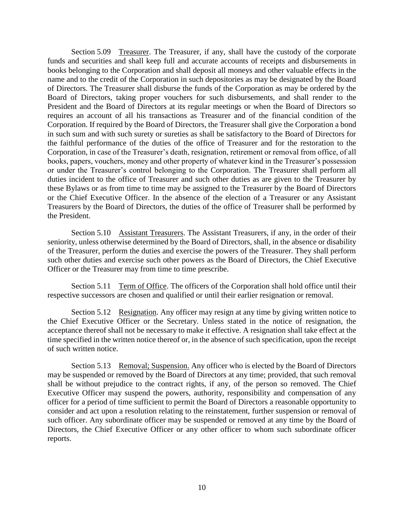Section 5.09 Treasurer. The Treasurer, if any, shall have the custody of the corporate funds and securities and shall keep full and accurate accounts of receipts and disbursements in books belonging to the Corporation and shall deposit all moneys and other valuable effects in the name and to the credit of the Corporation in such depositories as may be designated by the Board of Directors. The Treasurer shall disburse the funds of the Corporation as may be ordered by the Board of Directors, taking proper vouchers for such disbursements, and shall render to the President and the Board of Directors at its regular meetings or when the Board of Directors so requires an account of all his transactions as Treasurer and of the financial condition of the Corporation. If required by the Board of Directors, the Treasurer shall give the Corporation a bond in such sum and with such surety or sureties as shall be satisfactory to the Board of Directors for the faithful performance of the duties of the office of Treasurer and for the restoration to the Corporation, in case of the Treasurer's death, resignation, retirement or removal from office, of all books, papers, vouchers, money and other property of whatever kind in the Treasurer's possession or under the Treasurer's control belonging to the Corporation. The Treasurer shall perform all duties incident to the office of Treasurer and such other duties as are given to the Treasurer by these Bylaws or as from time to time may be assigned to the Treasurer by the Board of Directors or the Chief Executive Officer. In the absence of the election of a Treasurer or any Assistant Treasurers by the Board of Directors, the duties of the office of Treasurer shall be performed by the President.

Section 5.10 Assistant Treasurers. The Assistant Treasurers, if any, in the order of their seniority, unless otherwise determined by the Board of Directors, shall, in the absence or disability of the Treasurer, perform the duties and exercise the powers of the Treasurer. They shall perform such other duties and exercise such other powers as the Board of Directors, the Chief Executive Officer or the Treasurer may from time to time prescribe.

Section 5.11 Term of Office. The officers of the Corporation shall hold office until their respective successors are chosen and qualified or until their earlier resignation or removal.

Section 5.12 Resignation. Any officer may resign at any time by giving written notice to the Chief Executive Officer or the Secretary. Unless stated in the notice of resignation, the acceptance thereof shall not be necessary to make it effective. A resignation shall take effect at the time specified in the written notice thereof or, in the absence of such specification, upon the receipt of such written notice.

Section 5.13 Removal; Suspension. Any officer who is elected by the Board of Directors may be suspended or removed by the Board of Directors at any time; provided, that such removal shall be without prejudice to the contract rights, if any, of the person so removed. The Chief Executive Officer may suspend the powers, authority, responsibility and compensation of any officer for a period of time sufficient to permit the Board of Directors a reasonable opportunity to consider and act upon a resolution relating to the reinstatement, further suspension or removal of such officer. Any subordinate officer may be suspended or removed at any time by the Board of Directors, the Chief Executive Officer or any other officer to whom such subordinate officer reports.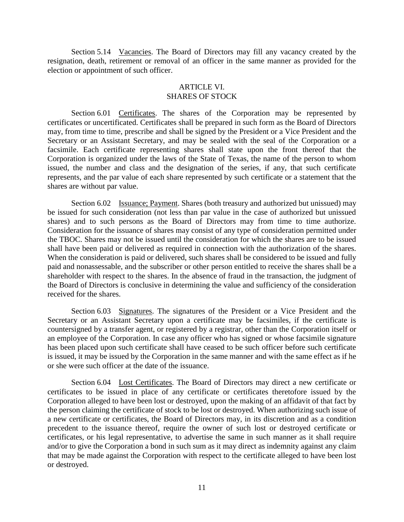Section 5.14 Vacancies. The Board of Directors may fill any vacancy created by the resignation, death, retirement or removal of an officer in the same manner as provided for the election or appointment of such officer.

## ARTICLE VI. SHARES OF STOCK

Section 6.01 Certificates. The shares of the Corporation may be represented by certificates or uncertificated. Certificates shall be prepared in such form as the Board of Directors may, from time to time, prescribe and shall be signed by the President or a Vice President and the Secretary or an Assistant Secretary, and may be sealed with the seal of the Corporation or a facsimile. Each certificate representing shares shall state upon the front thereof that the Corporation is organized under the laws of the State of Texas, the name of the person to whom issued, the number and class and the designation of the series, if any, that such certificate represents, and the par value of each share represented by such certificate or a statement that the shares are without par value.

Section 6.02 Issuance; Payment. Shares (both treasury and authorized but unissued) may be issued for such consideration (not less than par value in the case of authorized but unissued shares) and to such persons as the Board of Directors may from time to time authorize. Consideration for the issuance of shares may consist of any type of consideration permitted under the TBOC. Shares may not be issued until the consideration for which the shares are to be issued shall have been paid or delivered as required in connection with the authorization of the shares. When the consideration is paid or delivered, such shares shall be considered to be issued and fully paid and nonassessable, and the subscriber or other person entitled to receive the shares shall be a shareholder with respect to the shares. In the absence of fraud in the transaction, the judgment of the Board of Directors is conclusive in determining the value and sufficiency of the consideration received for the shares.

Section 6.03 Signatures. The signatures of the President or a Vice President and the Secretary or an Assistant Secretary upon a certificate may be facsimiles, if the certificate is countersigned by a transfer agent, or registered by a registrar, other than the Corporation itself or an employee of the Corporation. In case any officer who has signed or whose facsimile signature has been placed upon such certificate shall have ceased to be such officer before such certificate is issued, it may be issued by the Corporation in the same manner and with the same effect as if he or she were such officer at the date of the issuance.

Section 6.04 Lost Certificates. The Board of Directors may direct a new certificate or certificates to be issued in place of any certificate or certificates theretofore issued by the Corporation alleged to have been lost or destroyed, upon the making of an affidavit of that fact by the person claiming the certificate of stock to be lost or destroyed. When authorizing such issue of a new certificate or certificates, the Board of Directors may, in its discretion and as a condition precedent to the issuance thereof, require the owner of such lost or destroyed certificate or certificates, or his legal representative, to advertise the same in such manner as it shall require and/or to give the Corporation a bond in such sum as it may direct as indemnity against any claim that may be made against the Corporation with respect to the certificate alleged to have been lost or destroyed.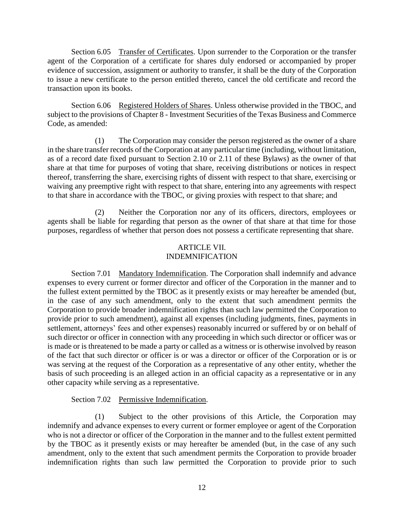Section 6.05 Transfer of Certificates. Upon surrender to the Corporation or the transfer agent of the Corporation of a certificate for shares duly endorsed or accompanied by proper evidence of succession, assignment or authority to transfer, it shall be the duty of the Corporation to issue a new certificate to the person entitled thereto, cancel the old certificate and record the transaction upon its books.

Section 6.06 Registered Holders of Shares. Unless otherwise provided in the TBOC, and subject to the provisions of Chapter 8 - Investment Securities of the Texas Business and Commerce Code, as amended:

(1) The Corporation may consider the person registered as the owner of a share in the share transfer records of the Corporation at any particular time (including, without limitation, as of a record date fixed pursuant to Section 2.10 or 2.11 of these Bylaws) as the owner of that share at that time for purposes of voting that share, receiving distributions or notices in respect thereof, transferring the share, exercising rights of dissent with respect to that share, exercising or waiving any preemptive right with respect to that share, entering into any agreements with respect to that share in accordance with the TBOC, or giving proxies with respect to that share; and

(2) Neither the Corporation nor any of its officers, directors, employees or agents shall be liable for regarding that person as the owner of that share at that time for those purposes, regardless of whether that person does not possess a certificate representing that share.

### ARTICLE VII. INDEMNIFICATION

Section 7.01 Mandatory Indemnification. The Corporation shall indemnify and advance expenses to every current or former director and officer of the Corporation in the manner and to the fullest extent permitted by the TBOC as it presently exists or may hereafter be amended (but, in the case of any such amendment, only to the extent that such amendment permits the Corporation to provide broader indemnification rights than such law permitted the Corporation to provide prior to such amendment), against all expenses (including judgments, fines, payments in settlement, attorneys' fees and other expenses) reasonably incurred or suffered by or on behalf of such director or officer in connection with any proceeding in which such director or officer was or is made or is threatened to be made a party or called as a witness or is otherwise involved by reason of the fact that such director or officer is or was a director or officer of the Corporation or is or was serving at the request of the Corporation as a representative of any other entity, whether the basis of such proceeding is an alleged action in an official capacity as a representative or in any other capacity while serving as a representative.

# Section 7.02 Permissive Indemnification.

(1) Subject to the other provisions of this Article, the Corporation may indemnify and advance expenses to every current or former employee or agent of the Corporation who is not a director or officer of the Corporation in the manner and to the fullest extent permitted by the TBOC as it presently exists or may hereafter be amended (but, in the case of any such amendment, only to the extent that such amendment permits the Corporation to provide broader indemnification rights than such law permitted the Corporation to provide prior to such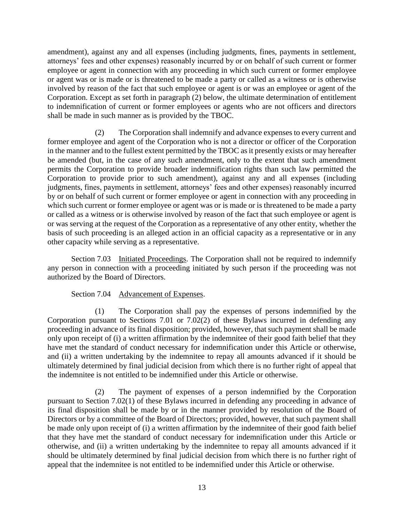amendment), against any and all expenses (including judgments, fines, payments in settlement, attorneys' fees and other expenses) reasonably incurred by or on behalf of such current or former employee or agent in connection with any proceeding in which such current or former employee or agent was or is made or is threatened to be made a party or called as a witness or is otherwise involved by reason of the fact that such employee or agent is or was an employee or agent of the Corporation. Except as set forth in paragraph (2) below, the ultimate determination of entitlement to indemnification of current or former employees or agents who are not officers and directors shall be made in such manner as is provided by the TBOC.

(2) The Corporation shall indemnify and advance expenses to every current and former employee and agent of the Corporation who is not a director or officer of the Corporation in the manner and to the fullest extent permitted by the TBOC as it presently exists or may hereafter be amended (but, in the case of any such amendment, only to the extent that such amendment permits the Corporation to provide broader indemnification rights than such law permitted the Corporation to provide prior to such amendment), against any and all expenses (including judgments, fines, payments in settlement, attorneys' fees and other expenses) reasonably incurred by or on behalf of such current or former employee or agent in connection with any proceeding in which such current or former employee or agent was or is made or is threatened to be made a party or called as a witness or is otherwise involved by reason of the fact that such employee or agent is or was serving at the request of the Corporation as a representative of any other entity, whether the basis of such proceeding is an alleged action in an official capacity as a representative or in any other capacity while serving as a representative.

Section 7.03 Initiated Proceedings. The Corporation shall not be required to indemnify any person in connection with a proceeding initiated by such person if the proceeding was not authorized by the Board of Directors.

### Section 7.04 Advancement of Expenses.

(1) The Corporation shall pay the expenses of persons indemnified by the Corporation pursuant to Sections 7.01 or 7.02(2) of these Bylaws incurred in defending any proceeding in advance of its final disposition; provided, however, that such payment shall be made only upon receipt of (i) a written affirmation by the indemnitee of their good faith belief that they have met the standard of conduct necessary for indemnification under this Article or otherwise, and (ii) a written undertaking by the indemnitee to repay all amounts advanced if it should be ultimately determined by final judicial decision from which there is no further right of appeal that the indemnitee is not entitled to be indemnified under this Article or otherwise.

(2) The payment of expenses of a person indemnified by the Corporation pursuant to Section 7.02(1) of these Bylaws incurred in defending any proceeding in advance of its final disposition shall be made by or in the manner provided by resolution of the Board of Directors or by a committee of the Board of Directors; provided, however, that such payment shall be made only upon receipt of (i) a written affirmation by the indemnitee of their good faith belief that they have met the standard of conduct necessary for indemnification under this Article or otherwise, and (ii) a written undertaking by the indemnitee to repay all amounts advanced if it should be ultimately determined by final judicial decision from which there is no further right of appeal that the indemnitee is not entitled to be indemnified under this Article or otherwise.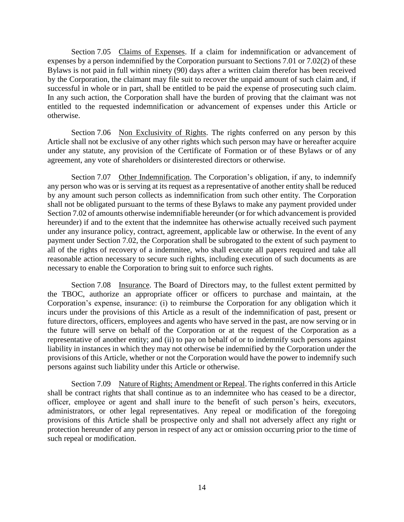Section 7.05 Claims of Expenses. If a claim for indemnification or advancement of expenses by a person indemnified by the Corporation pursuant to Sections 7.01 or 7.02(2) of these Bylaws is not paid in full within ninety (90) days after a written claim therefor has been received by the Corporation, the claimant may file suit to recover the unpaid amount of such claim and, if successful in whole or in part, shall be entitled to be paid the expense of prosecuting such claim. In any such action, the Corporation shall have the burden of proving that the claimant was not entitled to the requested indemnification or advancement of expenses under this Article or otherwise.

Section 7.06 Non Exclusivity of Rights. The rights conferred on any person by this Article shall not be exclusive of any other rights which such person may have or hereafter acquire under any statute, any provision of the Certificate of Formation or of these Bylaws or of any agreement, any vote of shareholders or disinterested directors or otherwise.

Section 7.07 Other Indemnification. The Corporation's obligation, if any, to indemnify any person who was or is serving at its request as a representative of another entity shall be reduced by any amount such person collects as indemnification from such other entity. The Corporation shall not be obligated pursuant to the terms of these Bylaws to make any payment provided under Section 7.02 of amounts otherwise indemnifiable hereunder (or for which advancement is provided hereunder) if and to the extent that the indemnitee has otherwise actually received such payment under any insurance policy, contract, agreement, applicable law or otherwise. In the event of any payment under Section 7.02, the Corporation shall be subrogated to the extent of such payment to all of the rights of recovery of a indemnitee, who shall execute all papers required and take all reasonable action necessary to secure such rights, including execution of such documents as are necessary to enable the Corporation to bring suit to enforce such rights.

Section 7.08 Insurance. The Board of Directors may, to the fullest extent permitted by the TBOC, authorize an appropriate officer or officers to purchase and maintain, at the Corporation's expense, insurance: (i) to reimburse the Corporation for any obligation which it incurs under the provisions of this Article as a result of the indemnification of past, present or future directors, officers, employees and agents who have served in the past, are now serving or in the future will serve on behalf of the Corporation or at the request of the Corporation as a representative of another entity; and (ii) to pay on behalf of or to indemnify such persons against liability in instances in which they may not otherwise be indemnified by the Corporation under the provisions of this Article, whether or not the Corporation would have the power to indemnify such persons against such liability under this Article or otherwise.

Section 7.09 Nature of Rights; Amendment or Repeal. The rights conferred in this Article shall be contract rights that shall continue as to an indemnitee who has ceased to be a director, officer, employee or agent and shall inure to the benefit of such person's heirs, executors, administrators, or other legal representatives. Any repeal or modification of the foregoing provisions of this Article shall be prospective only and shall not adversely affect any right or protection hereunder of any person in respect of any act or omission occurring prior to the time of such repeal or modification.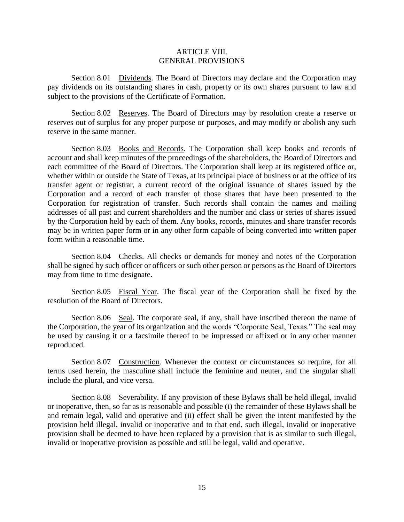### ARTICLE VIII. GENERAL PROVISIONS

Section 8.01 Dividends. The Board of Directors may declare and the Corporation may pay dividends on its outstanding shares in cash, property or its own shares pursuant to law and subject to the provisions of the Certificate of Formation.

Section 8.02 Reserves. The Board of Directors may by resolution create a reserve or reserves out of surplus for any proper purpose or purposes, and may modify or abolish any such reserve in the same manner.

Section 8.03 Books and Records. The Corporation shall keep books and records of account and shall keep minutes of the proceedings of the shareholders, the Board of Directors and each committee of the Board of Directors. The Corporation shall keep at its registered office or, whether within or outside the State of Texas, at its principal place of business or at the office of its transfer agent or registrar, a current record of the original issuance of shares issued by the Corporation and a record of each transfer of those shares that have been presented to the Corporation for registration of transfer. Such records shall contain the names and mailing addresses of all past and current shareholders and the number and class or series of shares issued by the Corporation held by each of them. Any books, records, minutes and share transfer records may be in written paper form or in any other form capable of being converted into written paper form within a reasonable time.

Section 8.04 Checks. All checks or demands for money and notes of the Corporation shall be signed by such officer or officers or such other person or persons as the Board of Directors may from time to time designate.

Section 8.05 Fiscal Year. The fiscal year of the Corporation shall be fixed by the resolution of the Board of Directors.

Section 8.06 Seal. The corporate seal, if any, shall have inscribed thereon the name of the Corporation, the year of its organization and the words "Corporate Seal, Texas." The seal may be used by causing it or a facsimile thereof to be impressed or affixed or in any other manner reproduced.

Section 8.07 Construction. Whenever the context or circumstances so require, for all terms used herein, the masculine shall include the feminine and neuter, and the singular shall include the plural, and vice versa.

Section 8.08 Severability. If any provision of these Bylaws shall be held illegal, invalid or inoperative, then, so far as is reasonable and possible (i) the remainder of these Bylaws shall be and remain legal, valid and operative and (ii) effect shall be given the intent manifested by the provision held illegal, invalid or inoperative and to that end, such illegal, invalid or inoperative provision shall be deemed to have been replaced by a provision that is as similar to such illegal, invalid or inoperative provision as possible and still be legal, valid and operative.